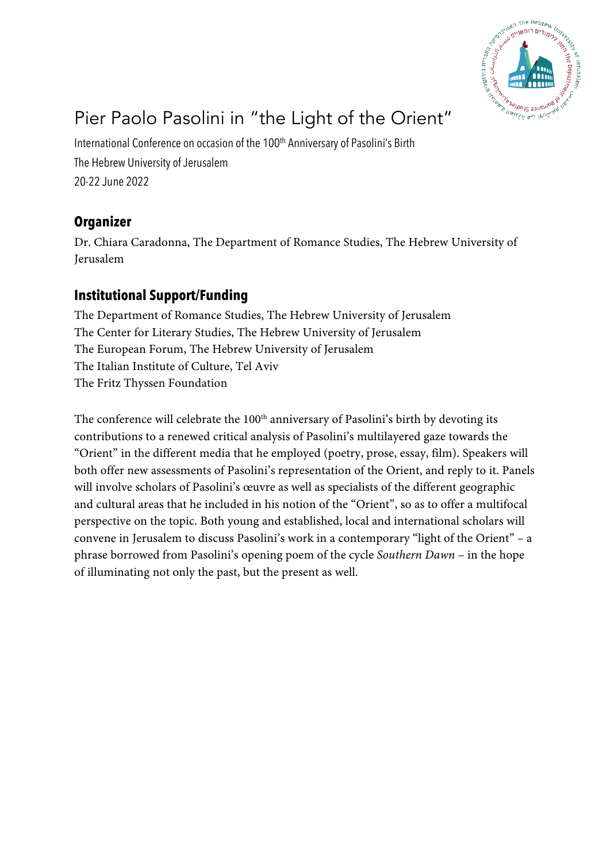

# Pier Paolo Pasolini in "the Light of the Orient"

International Conference on occasion of the 100<sup>th</sup> Anniversary of Pasolini's Birth The Hebrew University of Jerusalem 20-22 June 2022

### **Organizer**

Dr. Chiara Caradonna, The Department of Romance Studies, The Hebrew University of Jerusalem

#### **Institutional Support/Funding**

The Department of Romance Studies, The Hebrew University of Jerusalem The Center for Literary Studies, The Hebrew University of Jerusalem The European Forum, The Hebrew University of Jerusalem The Italian Institute of Culture, Tel Aviv The Fritz Thyssen Foundation

The conference will celebrate the 100<sup>th</sup> anniversary of Pasolini's birth by devoting its contributions to a renewed critical analysis of Pasolini's multilayered gaze towards the "Orient" in the different media that he employed (poetry, prose, essay, film). Speakers will both offer new assessments of Pasolini's representation of the Orient, and reply to it. Panels will involve scholars of Pasolini's œuvre as well as specialists of the different geographic and cultural areas that he included in his notion of the "Orient", so as to offer a multifocal perspective on the topic. Both young and established, local and international scholars will convene in Jerusalem to discuss Pasolini's work in a contemporary "light of the Orient" – a phrase borrowed from Pasolini's opening poem of the cycle *Southern Dawn* – in the hope of illuminating not only the past, but the present as well.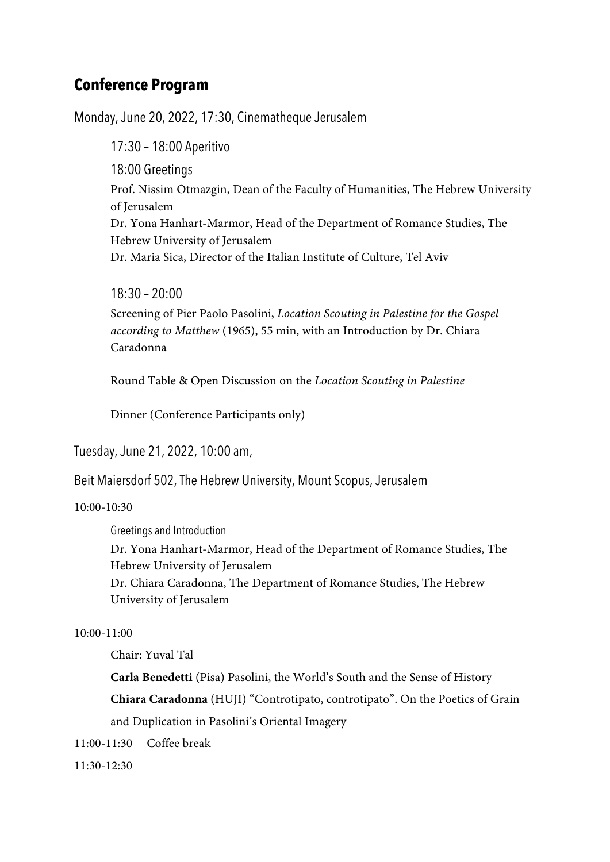## **Conference Program**

Monday, June 20, 2022, 17:30, Cinematheque Jerusalem

17:30 – 18:00 Aperitivo 18:00 Greetings Prof. Nissim Otmazgin, Dean of the Faculty of Humanities, The Hebrew University of Jerusalem Dr. Yona Hanhart-Marmor, Head of the Department of Romance Studies, The Hebrew University of Jerusalem Dr. Maria Sica, Director of the Italian Institute of Culture, Tel Aviv

18:30 – 20:00

Screening of Pier Paolo Pasolini, *Location Scouting in Palestine for the Gospel according to Matthew* (1965), 55 min, with an Introduction by Dr. Chiara Caradonna

Round Table & Open Discussion on the *Location Scouting in Palestine*

Dinner (Conference Participants only)

Tuesday, June 21, 2022, 10:00 am,

Beit Maiersdorf 502, The Hebrew University, Mount Scopus, Jerusalem

10:00-10:30

Greetings and Introduction Dr. Yona Hanhart-Marmor, Head of the Department of Romance Studies, The Hebrew University of Jerusalem Dr. Chiara Caradonna, The Department of Romance Studies, The Hebrew University of Jerusalem

#### 10:00-11:00

Chair: Yuval Tal

**Carla Benedetti** (Pisa) Pasolini, the World's South and the Sense of History **Chiara Caradonna** (HUJI) "Controtipato, controtipato". On the Poetics of Grain and Duplication in Pasolini's Oriental Imagery

11:00-11:30 Coffee break

11:30-12:30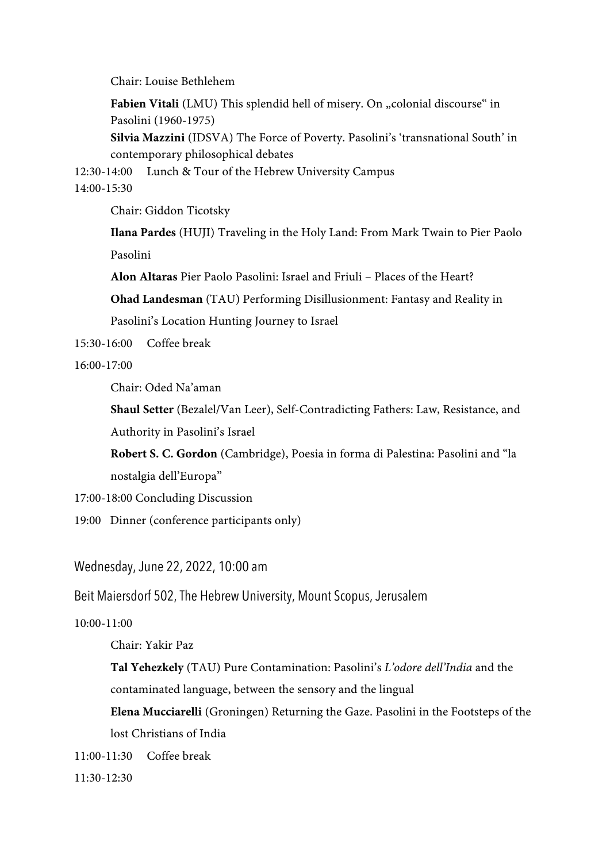Chair: Louise Bethlehem

Fabien Vitali (LMU) This splendid hell of misery. On "colonial discourse" in Pasolini (1960-1975)

**Silvia Mazzini** (IDSVA) The Force of Poverty. Pasolini's 'transnational South' in contemporary philosophical debates

12:30-14:00 Lunch & Tour of the Hebrew University Campus 14:00-15:30

Chair: Giddon Ticotsky

**Ilana Pardes** (HUJI) Traveling in the Holy Land: From Mark Twain to Pier Paolo Pasolini

**Alon Altaras** Pier Paolo Pasolini: Israel and Friuli – Places of the Heart?

**Ohad Landesman** (TAU) Performing Disillusionment: Fantasy and Reality in

Pasolini's Location Hunting Journey to Israel

15:30-16:00 Coffee break

16:00-17:00

Chair: Oded Na'aman

**Shaul Setter** (Bezalel/Van Leer), Self-Contradicting Fathers: Law, Resistance, and Authority in Pasolini's Israel

**Robert S. C. Gordon** (Cambridge), Poesia in forma di Palestina: Pasolini and "la nostalgia dell'Europa"

- 17:00-18:00 Concluding Discussion
- 19:00 Dinner (conference participants only)

Wednesday, June 22, 2022, 10:00 am

Beit Maiersdorf 502, The Hebrew University, Mount Scopus, Jerusalem

10:00-11:00

Chair: Yakir Paz

**Tal Yehezkely** (TAU) Pure Contamination: Pasolini's *L'odore dell'India* and the contaminated language, between the sensory and the lingual

**Elena Mucciarelli** (Groningen) Returning the Gaze. Pasolini in the Footsteps of the lost Christians of India

11:00-11:30 Coffee break

11:30-12:30